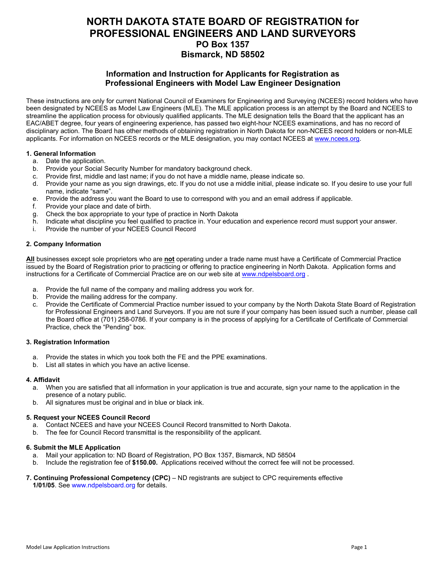# **NORTH DAKOTA STATE BOARD OF REGISTRATION for PROFESSIONAL ENGINEERS AND LAND SURVEYORS PO Box 1357 Bismarck, ND 58502**

### **Information and Instruction for Applicants for Registration as Professional Engineers with Model Law Engineer Designation**

These instructions are only for current National Council of Examiners for Engineering and Surveying (NCEES) record holders who have been designated by NCEES as Model Law Engineers (MLE). The MLE application process is an attempt by the Board and NCEES to streamline the application process for obviously qualified applicants. The MLE designation tells the Board that the applicant has an EAC/ABET degree, four years of engineering experience, has passed two eight-hour NCEES examinations, and has no record of disciplinary action. The Board has other methods of obtaining registration in North Dakota for non-NCEES record holders or non-MLE applicants. For information on NCEES records or the MLE designation, you may contact NCEES at [www.ncees.org.](http://www.ncees.org/)

#### **1. General Information**

- a. Date the application.
- b. Provide your Social Security Number for mandatory background check.
- c. Provide first, middle and last name; if you do not have a middle name, please indicate so.
- d. Provide your name as you sign drawings, etc. If you do not use a middle initial, please indicate so. If you desire to use your full name, indicate "same".
- e. Provide the address you want the Board to use to correspond with you and an email address if applicable.
- f. Provide your place and date of birth.
- g. Check the box appropriate to your type of practice in North Dakota
- h. Indicate what discipline you feel qualified to practice in. Your education and experience record must support your answer.
- i. Provide the number of your NCEES Council Record

#### **2. Company Information**

**All** businesses except sole proprietors who are **not** operating under a trade name must have a Certificate of Commercial Practice issued by the Board of Registration prior to practicing or offering to practice engineering in North Dakota. Application forms and instructions for a Certificate of Commercial Practice are on our web site at [www.ndpelsboard.org](http://www.ndpelsboard.org/) .

- a. Provide the full name of the company and mailing address you work for.
- b. Provide the mailing address for the company.
- c. Provide the Certificate of Commercial Practice number issued to your company by the North Dakota State Board of Registration for Professional Engineers and Land Surveyors. If you are not sure if your company has been issued such a number, please call the Board office at (701) 258-0786. If your company is in the process of applying for a Certificate of Certificate of Commercial Practice, check the "Pending" box.

#### **3. Registration Information**

- a. Provide the states in which you took both the FE and the PPE examinations.
- b. List all states in which you have an active license.

#### **4. Affidavit**

- a. When you are satisfied that all information in your application is true and accurate, sign your name to the application in the presence of a notary public.
- b. All signatures must be original and in blue or black ink.

#### **5. Request your NCEES Council Record**

- a. Contact NCEES and have your NCEES Council Record transmitted to North Dakota.
- b. The fee for Council Record transmittal is the responsibility of the applicant.

#### **6. Submit the MLE Application**

- a. Mail your application to: ND Board of Registration, PO Box 1357, Bismarck, ND 58504
- b. Include the registration fee of **\$150.00.** Applications received without the correct fee will not be processed.
- **7. Continuing Professional Competency (CPC)**  ND registrants are subject to CPC requirements effective **1/01/05**. See www.ndpelsboard.org for details.